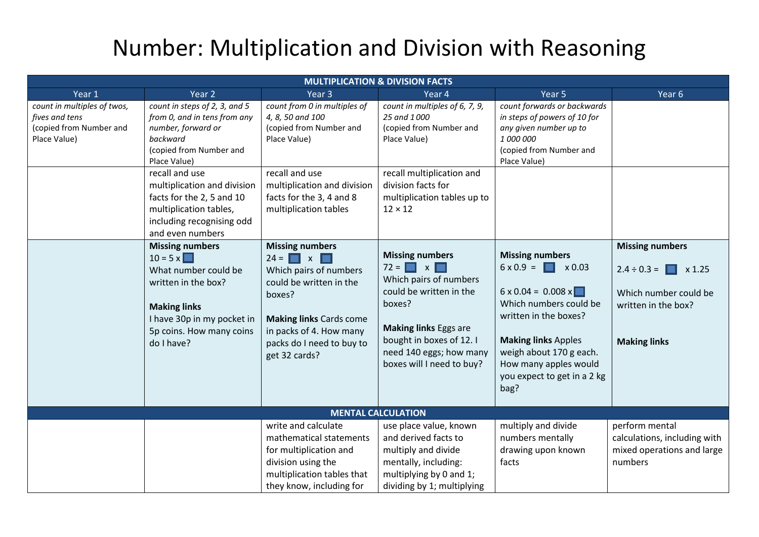| <b>MULTIPLICATION &amp; DIVISION FACTS</b>                                               |                                                                                                                                                                                                                                                                                                     |                                                                                                                                                                                                                        |                                                                                                                                                                                                                                 |                                                                                                                                                                                                                                                                              |                                                                                                                                  |  |
|------------------------------------------------------------------------------------------|-----------------------------------------------------------------------------------------------------------------------------------------------------------------------------------------------------------------------------------------------------------------------------------------------------|------------------------------------------------------------------------------------------------------------------------------------------------------------------------------------------------------------------------|---------------------------------------------------------------------------------------------------------------------------------------------------------------------------------------------------------------------------------|------------------------------------------------------------------------------------------------------------------------------------------------------------------------------------------------------------------------------------------------------------------------------|----------------------------------------------------------------------------------------------------------------------------------|--|
| Year 1                                                                                   | Year <sub>2</sub>                                                                                                                                                                                                                                                                                   | Year <sub>3</sub>                                                                                                                                                                                                      | Year 4                                                                                                                                                                                                                          | Year 5                                                                                                                                                                                                                                                                       | Year 6                                                                                                                           |  |
| count in multiples of twos,<br>fives and tens<br>(copied from Number and<br>Place Value) | count in steps of 2, 3, and 5<br>from 0, and in tens from any<br>number, forward or<br>backward<br>(copied from Number and<br>Place Value)<br>recall and use<br>multiplication and division<br>facts for the 2, 5 and 10<br>multiplication tables,<br>including recognising odd<br>and even numbers | count from 0 in multiples of<br>4, 8, 50 and 100<br>(copied from Number and<br>Place Value)<br>recall and use<br>multiplication and division<br>facts for the 3, 4 and 8<br>multiplication tables                      | count in multiples of 6, 7, 9,<br>25 and 1000<br>(copied from Number and<br>Place Value)<br>recall multiplication and<br>division facts for<br>multiplication tables up to<br>$12 \times 12$                                    | count forwards or backwards<br>in steps of powers of 10 for<br>any given number up to<br>1 000 000<br>(copied from Number and<br>Place Value)                                                                                                                                |                                                                                                                                  |  |
|                                                                                          | <b>Missing numbers</b><br>$10 = 5 \times \Box$<br>What number could be<br>written in the box?<br><b>Making links</b><br>I have 30p in my pocket in<br>5p coins. How many coins<br>do I have?                                                                                                        | <b>Missing numbers</b><br>$24 = \Box x \Box$<br>Which pairs of numbers<br>could be written in the<br>boxes?<br><b>Making links Cards come</b><br>in packs of 4. How many<br>packs do I need to buy to<br>get 32 cards? | <b>Missing numbers</b><br>$72 = \Box x \Box$<br>Which pairs of numbers<br>could be written in the<br>boxes?<br><b>Making links Eggs are</b><br>bought in boxes of 12. I<br>need 140 eggs; how many<br>boxes will I need to buy? | <b>Missing numbers</b><br>$6 \times 0.9 =$<br>H<br>x 0.03<br>$6 \times 0.04 = 0.008 \times \Box$<br>Which numbers could be<br>written in the boxes?<br><b>Making links Apples</b><br>weigh about 170 g each.<br>How many apples would<br>you expect to get in a 2 kg<br>bag? | <b>Missing numbers</b><br>$2.4 \div 0.3 = \Box$<br>x 1.25<br>Which number could be<br>written in the box?<br><b>Making links</b> |  |
|                                                                                          |                                                                                                                                                                                                                                                                                                     |                                                                                                                                                                                                                        | <b>MENTAL CALCULATION</b>                                                                                                                                                                                                       |                                                                                                                                                                                                                                                                              |                                                                                                                                  |  |
|                                                                                          |                                                                                                                                                                                                                                                                                                     | write and calculate<br>mathematical statements<br>for multiplication and<br>division using the<br>multiplication tables that<br>they know, including for                                                               | use place value, known<br>and derived facts to<br>multiply and divide<br>mentally, including:<br>multiplying by 0 and 1;<br>dividing by 1; multiplying                                                                          | multiply and divide<br>numbers mentally<br>drawing upon known<br>facts                                                                                                                                                                                                       | perform mental<br>calculations, including with<br>mixed operations and large<br>numbers                                          |  |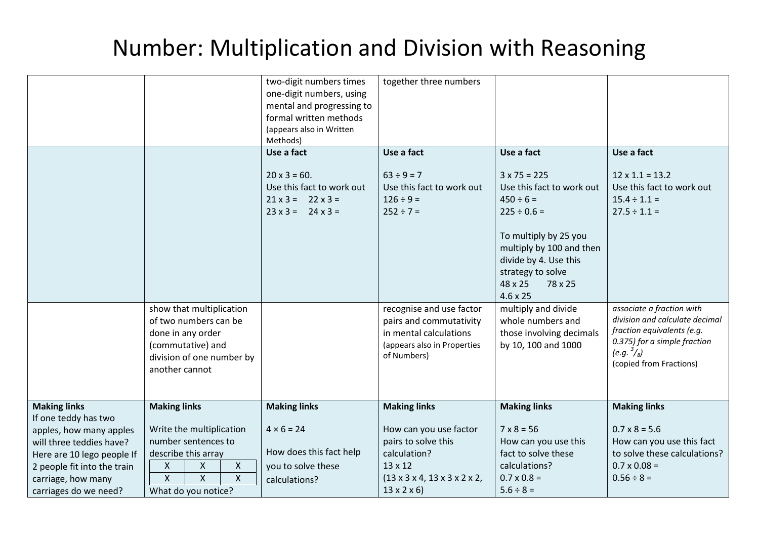|                                                                                                                                                                                                                |                                                                                                                                                                                           | two-digit numbers times<br>one-digit numbers, using<br>mental and progressing to<br>formal written methods<br>(appears also in Written<br>Methods) | together three numbers                                                                                                                                                               |                                                                                                                                                                                                                                                  |                                                                                                                                                                               |
|----------------------------------------------------------------------------------------------------------------------------------------------------------------------------------------------------------------|-------------------------------------------------------------------------------------------------------------------------------------------------------------------------------------------|----------------------------------------------------------------------------------------------------------------------------------------------------|--------------------------------------------------------------------------------------------------------------------------------------------------------------------------------------|--------------------------------------------------------------------------------------------------------------------------------------------------------------------------------------------------------------------------------------------------|-------------------------------------------------------------------------------------------------------------------------------------------------------------------------------|
|                                                                                                                                                                                                                |                                                                                                                                                                                           | Use a fact<br>$20 \times 3 = 60.$<br>Use this fact to work out<br>$21 \times 3 = 22 \times 3 =$<br>$23 \times 3 = 24 \times 3 =$                   | Use a fact<br>$63 ÷ 9 = 7$<br>Use this fact to work out<br>$126 \div 9 =$<br>$252 \div 7 =$                                                                                          | Use a fact<br>$3 \times 75 = 225$<br>Use this fact to work out<br>$450 \div 6 =$<br>$225 \div 0.6 =$<br>To multiply by 25 you<br>multiply by 100 and then<br>divide by 4. Use this<br>strategy to solve<br>48 x 25<br>78 x 25<br>$4.6 \times 25$ | Use a fact<br>$12 \times 1.1 = 13.2$<br>Use this fact to work out<br>$15.4 \div 1.1 =$<br>$27.5 \div 1.1 =$                                                                   |
|                                                                                                                                                                                                                | show that multiplication<br>of two numbers can be<br>done in any order<br>(commutative) and<br>division of one number by<br>another cannot                                                |                                                                                                                                                    | recognise and use factor<br>pairs and commutativity<br>in mental calculations<br>(appears also in Properties<br>of Numbers)                                                          | multiply and divide<br>whole numbers and<br>those involving decimals<br>by 10, 100 and 1000                                                                                                                                                      | associate a fraction with<br>division and calculate decimal<br>fraction equivalents (e.g.<br>0.375) for a simple fraction<br>(e.g. $\frac{3}{8}$ )<br>(copied from Fractions) |
| <b>Making links</b><br>If one teddy has two<br>apples, how many apples<br>will three teddies have?<br>Here are 10 lego people If<br>2 people fit into the train<br>carriage, how many<br>carriages do we need? | <b>Making links</b><br>Write the multiplication<br>number sentences to<br>describe this array<br>X<br>$\pmb{\mathsf{X}}$<br>X<br>$\mathsf{X}$<br>$\mathsf{X}$<br>X<br>What do you notice? | <b>Making links</b><br>$4 \times 6 = 24$<br>How does this fact help<br>you to solve these<br>calculations?                                         | <b>Making links</b><br>How can you use factor<br>pairs to solve this<br>calculation?<br>13 x 12<br>$(13 \times 3 \times 4, 13 \times 3 \times 2 \times 2,$<br>$13 \times 2 \times 6$ | <b>Making links</b><br>$7 \times 8 = 56$<br>How can you use this<br>fact to solve these<br>calculations?<br>$0.7 \times 0.8 =$<br>$5.6 \div 8 =$                                                                                                 | <b>Making links</b><br>$0.7 \times 8 = 5.6$<br>How can you use this fact<br>to solve these calculations?<br>$0.7 \times 0.08 =$<br>$0.56 \div 8 =$                            |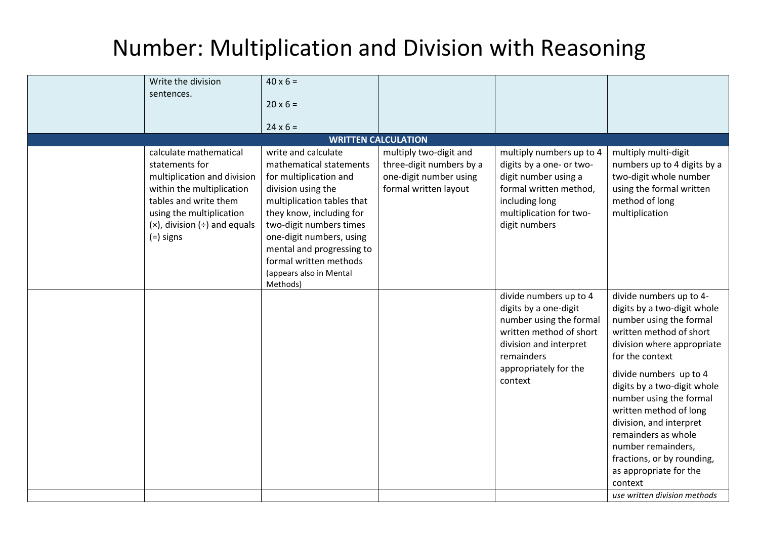|             | Write the division                                                                                                                                                                                | $40 \times 6 =$                                                                                                                                                                                                                                                                                               |                                                                                                       |                                                                                                                                                                                   |                                                                                                                                                                                                                                                                                                                                                                                                                                                        |
|-------------|---------------------------------------------------------------------------------------------------------------------------------------------------------------------------------------------------|---------------------------------------------------------------------------------------------------------------------------------------------------------------------------------------------------------------------------------------------------------------------------------------------------------------|-------------------------------------------------------------------------------------------------------|-----------------------------------------------------------------------------------------------------------------------------------------------------------------------------------|--------------------------------------------------------------------------------------------------------------------------------------------------------------------------------------------------------------------------------------------------------------------------------------------------------------------------------------------------------------------------------------------------------------------------------------------------------|
| sentences.  |                                                                                                                                                                                                   | $20 \times 6 =$                                                                                                                                                                                                                                                                                               |                                                                                                       |                                                                                                                                                                                   |                                                                                                                                                                                                                                                                                                                                                                                                                                                        |
|             |                                                                                                                                                                                                   |                                                                                                                                                                                                                                                                                                               |                                                                                                       |                                                                                                                                                                                   |                                                                                                                                                                                                                                                                                                                                                                                                                                                        |
|             |                                                                                                                                                                                                   | $24 \times 6 =$<br><b>WRITTEN CALCULATION</b>                                                                                                                                                                                                                                                                 |                                                                                                       |                                                                                                                                                                                   |                                                                                                                                                                                                                                                                                                                                                                                                                                                        |
| $(=)$ signs | calculate mathematical<br>statements for<br>multiplication and division<br>within the multiplication<br>tables and write them<br>using the multiplication<br>$(x)$ , division $(\div)$ and equals | write and calculate<br>mathematical statements<br>for multiplication and<br>division using the<br>multiplication tables that<br>they know, including for<br>two-digit numbers times<br>one-digit numbers, using<br>mental and progressing to<br>formal written methods<br>(appears also in Mental<br>Methods) | multiply two-digit and<br>three-digit numbers by a<br>one-digit number using<br>formal written layout | multiply numbers up to 4<br>digits by a one- or two-<br>digit number using a<br>formal written method,<br>including long<br>multiplication for two-<br>digit numbers              | multiply multi-digit<br>numbers up to 4 digits by a<br>two-digit whole number<br>using the formal written<br>method of long<br>multiplication                                                                                                                                                                                                                                                                                                          |
|             |                                                                                                                                                                                                   |                                                                                                                                                                                                                                                                                                               |                                                                                                       | divide numbers up to 4<br>digits by a one-digit<br>number using the formal<br>written method of short<br>division and interpret<br>remainders<br>appropriately for the<br>context | divide numbers up to 4-<br>digits by a two-digit whole<br>number using the formal<br>written method of short<br>division where appropriate<br>for the context<br>divide numbers up to 4<br>digits by a two-digit whole<br>number using the formal<br>written method of long<br>division, and interpret<br>remainders as whole<br>number remainders,<br>fractions, or by rounding,<br>as appropriate for the<br>context<br>use written division methods |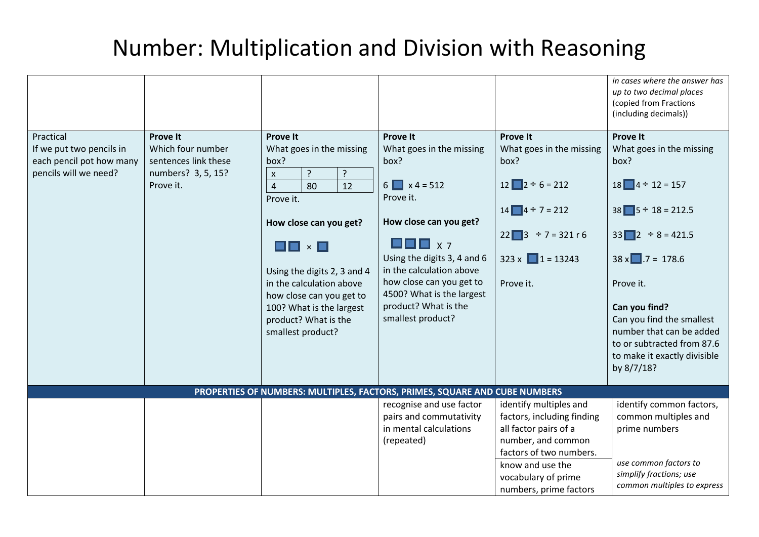| Practical<br>If we put two pencils in<br>each pencil pot how many<br>pencils will we need? | <b>Prove It</b><br>Which four number<br>sentences link these<br>numbers? 3, 5, 15? | <b>Prove It</b><br>What goes in the missing<br>box?<br>?<br>?<br>$\boldsymbol{\mathsf{X}}$                                                                                                                                                                                                 | <b>Prove It</b><br>What goes in the missing<br>box?                                                                                                                                                                                                                                    | <b>Prove It</b><br>What goes in the missing<br>box?                                                                                                                                                 | in cases where the answer has<br>up to two decimal places<br>(copied from Fractions<br>(including decimals))<br><b>Prove It</b><br>What goes in the missing<br>box?                                                                                                        |
|--------------------------------------------------------------------------------------------|------------------------------------------------------------------------------------|--------------------------------------------------------------------------------------------------------------------------------------------------------------------------------------------------------------------------------------------------------------------------------------------|----------------------------------------------------------------------------------------------------------------------------------------------------------------------------------------------------------------------------------------------------------------------------------------|-----------------------------------------------------------------------------------------------------------------------------------------------------------------------------------------------------|----------------------------------------------------------------------------------------------------------------------------------------------------------------------------------------------------------------------------------------------------------------------------|
|                                                                                            | Prove it.                                                                          | $\overline{4}$<br>80<br>12<br>Prove it.<br>How close can you get?<br>$\blacksquare$ $\blacksquare$ $\times$ $\blacksquare$<br>Using the digits 2, 3 and 4<br>in the calculation above<br>how close can you get to<br>100? What is the largest<br>product? What is the<br>smallest product? | $6 \square x 4 = 512$<br>Prove it.<br>How close can you get?<br>$\blacksquare$ $\blacksquare$ $\blacksquare$ $\chi$ 7<br>Using the digits 3, 4 and 6<br>in the calculation above<br>how close can you get to<br>4500? What is the largest<br>product? What is the<br>smallest product? | $12$ $2 \div 6 = 212$<br>14 $4 \div 7 = 212$<br>$22 \square 3 \div 7 = 321 \text{ r} 6$<br>$323 \times 1 = 13243$<br>Prove it.                                                                      | $18 \square 4 \div 12 = 157$<br>$38$ $5 \div 18 = 212.5$<br>$33$ 2 ÷ 8 = 421.5<br>$38 \times 7 = 178.6$<br>Prove it.<br>Can you find?<br>Can you find the smallest<br>number that can be added<br>to or subtracted from 87.6<br>to make it exactly divisible<br>by 8/7/18? |
|                                                                                            |                                                                                    | PROPERTIES OF NUMBERS: MULTIPLES, FACTORS, PRIMES, SQUARE AND CUBE NUMBERS                                                                                                                                                                                                                 |                                                                                                                                                                                                                                                                                        |                                                                                                                                                                                                     |                                                                                                                                                                                                                                                                            |
|                                                                                            |                                                                                    |                                                                                                                                                                                                                                                                                            | recognise and use factor<br>pairs and commutativity<br>in mental calculations<br>(repeated)                                                                                                                                                                                            | identify multiples and<br>factors, including finding<br>all factor pairs of a<br>number, and common<br>factors of two numbers.<br>know and use the<br>vocabulary of prime<br>numbers, prime factors | identify common factors,<br>common multiples and<br>prime numbers<br>use common factors to<br>simplify fractions; use<br>common multiples to express                                                                                                                       |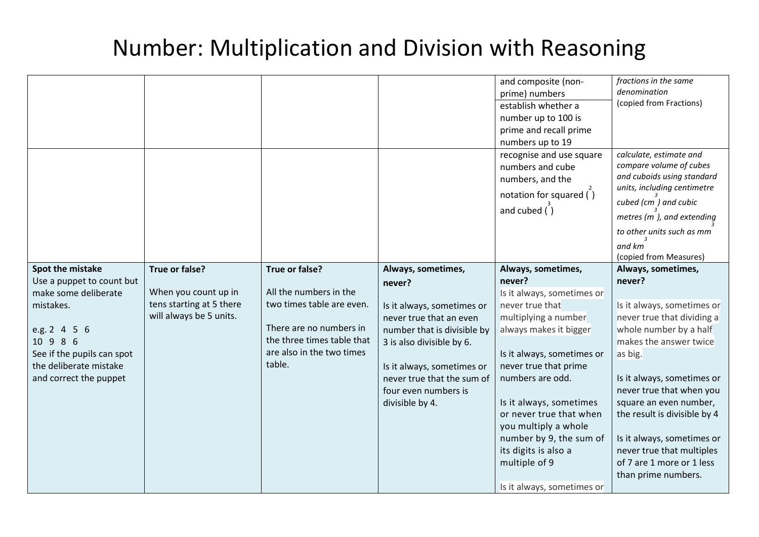|                            |                          |                            |                             | and composite (non-                             | fractions in the same                                   |
|----------------------------|--------------------------|----------------------------|-----------------------------|-------------------------------------------------|---------------------------------------------------------|
|                            |                          |                            |                             | prime) numbers                                  | denomination                                            |
|                            |                          |                            |                             | establish whether a                             | (copied from Fractions)                                 |
|                            |                          |                            |                             | number up to 100 is                             |                                                         |
|                            |                          |                            |                             | prime and recall prime                          |                                                         |
|                            |                          |                            |                             | numbers up to 19                                |                                                         |
|                            |                          |                            |                             | recognise and use square                        | calculate, estimate and<br>compare volume of cubes      |
|                            |                          |                            |                             | numbers and cube                                | and cuboids using standard                              |
|                            |                          |                            |                             | numbers, and the                                | units, including centimetre                             |
|                            |                          |                            |                             | notation for squared $\overline{()}$            | cubed (cm) and cubic                                    |
|                            |                          |                            |                             | and cubed $\binom{6}{1}$                        | metres (m ), and extending                              |
|                            |                          |                            |                             |                                                 | to other units such as mm                               |
|                            |                          |                            |                             |                                                 |                                                         |
|                            |                          |                            |                             |                                                 | and km<br>(copied from Measures)                        |
| Spot the mistake           | True or false?           | True or false?             | Always, sometimes,          | Always, sometimes,                              | Always, sometimes,                                      |
| Use a puppet to count but  |                          |                            | never?                      | never?                                          | never?                                                  |
| make some deliberate       | When you count up in     | All the numbers in the     |                             | Is it always, sometimes or                      |                                                         |
| mistakes.                  | tens starting at 5 there | two times table are even.  | Is it always, sometimes or  | never true that                                 | Is it always, sometimes or                              |
|                            | will always be 5 units.  |                            | never true that an even     | multiplying a number                            | never true that dividing a                              |
| e.g. 2 4 5 6               |                          | There are no numbers in    | number that is divisible by | always makes it bigger                          | whole number by a half                                  |
| 10 9 8 6                   |                          | the three times table that | 3 is also divisible by 6.   |                                                 | makes the answer twice                                  |
| See if the pupils can spot |                          | are also in the two times  |                             | Is it always, sometimes or                      | as big.                                                 |
| the deliberate mistake     |                          | table.                     | Is it always, sometimes or  | never true that prime                           |                                                         |
| and correct the puppet     |                          |                            | never true that the sum of  | numbers are odd.                                | Is it always, sometimes or                              |
|                            |                          |                            | four even numbers is        |                                                 | never true that when you                                |
|                            |                          |                            | divisible by 4.             | Is it always, sometimes                         | square an even number,                                  |
|                            |                          |                            |                             | or never true that when                         | the result is divisible by 4                            |
|                            |                          |                            |                             | you multiply a whole                            |                                                         |
|                            |                          |                            |                             | number by 9, the sum of<br>its digits is also a | Is it always, sometimes or<br>never true that multiples |
|                            |                          |                            |                             | multiple of 9                                   | of 7 are 1 more or 1 less                               |
|                            |                          |                            |                             |                                                 | than prime numbers.                                     |
|                            |                          |                            |                             | Is it always, sometimes or                      |                                                         |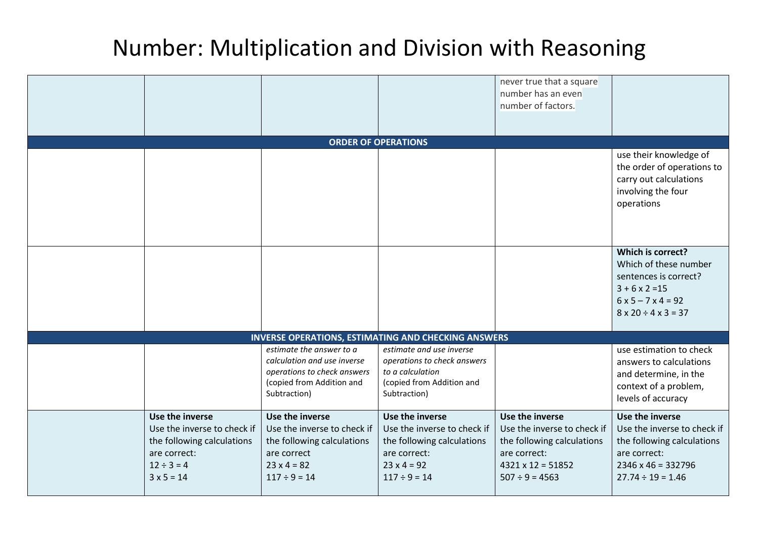|                                                                                                                                      |                                                                                                                                        |                                                                                                                                         | never true that a square<br>number has an even<br>number of factors.                                                                            |                                                                                                                                                        |
|--------------------------------------------------------------------------------------------------------------------------------------|----------------------------------------------------------------------------------------------------------------------------------------|-----------------------------------------------------------------------------------------------------------------------------------------|-------------------------------------------------------------------------------------------------------------------------------------------------|--------------------------------------------------------------------------------------------------------------------------------------------------------|
|                                                                                                                                      |                                                                                                                                        | <b>ORDER OF OPERATIONS</b>                                                                                                              |                                                                                                                                                 |                                                                                                                                                        |
|                                                                                                                                      |                                                                                                                                        |                                                                                                                                         |                                                                                                                                                 | use their knowledge of<br>the order of operations to<br>carry out calculations<br>involving the four<br>operations                                     |
|                                                                                                                                      |                                                                                                                                        |                                                                                                                                         |                                                                                                                                                 | Which is correct?<br>Which of these number<br>sentences is correct?<br>$3 + 6 \times 2 = 15$<br>$6x5 - 7x4 = 92$<br>$8 \times 20 \div 4 \times 3 = 37$ |
|                                                                                                                                      |                                                                                                                                        | <b>INVERSE OPERATIONS, ESTIMATING AND CHECKING ANSWERS</b>                                                                              |                                                                                                                                                 |                                                                                                                                                        |
|                                                                                                                                      | estimate the answer to a<br>calculation and use inverse<br>operations to check answers<br>(copied from Addition and<br>Subtraction)    | estimate and use inverse<br>operations to check answers<br>to a calculation<br>(copied from Addition and<br>Subtraction)                |                                                                                                                                                 | use estimation to check<br>answers to calculations<br>and determine, in the<br>context of a problem,<br>levels of accuracy                             |
| Use the inverse<br>Use the inverse to check if<br>the following calculations<br>are correct:<br>$12 \div 3 = 4$<br>$3 \times 5 = 14$ | Use the inverse<br>Use the inverse to check if<br>the following calculations<br>are correct<br>$23 \times 4 = 82$<br>$117 \div 9 = 14$ | Use the inverse<br>Use the inverse to check if<br>the following calculations<br>are correct:<br>$23 \times 4 = 92$<br>$117 \div 9 = 14$ | Use the inverse<br>Use the inverse to check if<br>the following calculations<br>are correct:<br>$4321 \times 12 = 51852$<br>$507 \div 9 = 4563$ | Use the inverse<br>Use the inverse to check if<br>the following calculations<br>are correct:<br>$2346 \times 46 = 332796$<br>$27.74 \div 19 = 1.46$    |